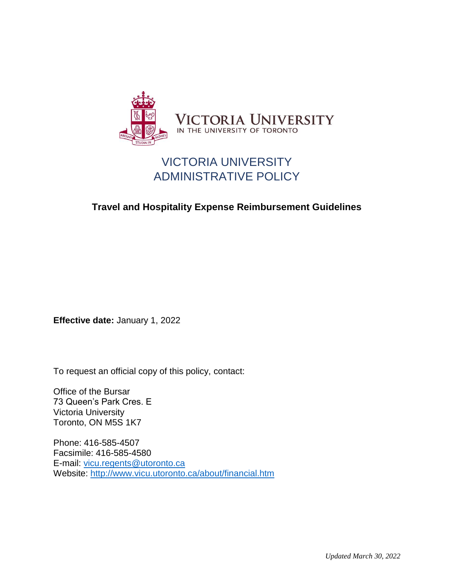

# VICTORIA UNIVERSITY ADMINISTRATIVE POLICY

# **Travel and Hospitality Expense Reimbursement Guidelines**

**Effective date:** January 1, 2022

To request an official copy of this policy, contact:

Office of the Bursar 73 Queen's Park Cres. E Victoria University Toronto, ON M5S 1K7

Phone: 416-585-4507 Facsimile: 416-585-4580 E-mail: [vicu.regents@utoronto.ca](mailto:vicu.regents@utoronto.ca) Website:<http://www.vicu.utoronto.ca/about/financial.htm>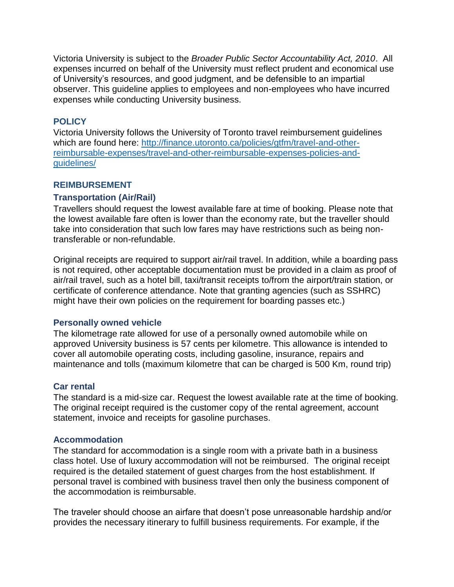Victoria University is subject to the *Broader Public Sector Accountability Act, 2010*. All expenses incurred on behalf of the University must reflect prudent and economical use of University's resources, and good judgment, and be defensible to an impartial observer. This guideline applies to employees and non-employees who have incurred expenses while conducting University business.

# **POLICY**

Victoria University follows the University of Toronto travel reimbursement guidelines which are found here: [http://finance.utoronto.ca/policies/gtfm/travel-and-other](http://finance.utoronto.ca/policies/gtfm/travel-and-other-reimbursable-expenses/travel-and-other-reimbursable-expenses-policies-and-guidelines/)[reimbursable-expenses/travel-and-other-reimbursable-expenses-policies-and](http://finance.utoronto.ca/policies/gtfm/travel-and-other-reimbursable-expenses/travel-and-other-reimbursable-expenses-policies-and-guidelines/)[guidelines/](http://finance.utoronto.ca/policies/gtfm/travel-and-other-reimbursable-expenses/travel-and-other-reimbursable-expenses-policies-and-guidelines/)

# **REIMBURSEMENT**

# **Transportation (Air/Rail)**

Travellers should request the lowest available fare at time of booking. Please note that the lowest available fare often is lower than the economy rate, but the traveller should take into consideration that such low fares may have restrictions such as being nontransferable or non-refundable.

Original receipts are required to support air/rail travel. In addition, while a boarding pass is not required, other acceptable documentation must be provided in a claim as proof of air/rail travel, such as a hotel bill, taxi/transit receipts to/from the airport/train station, or certificate of conference attendance. Note that granting agencies (such as SSHRC) might have their own policies on the requirement for boarding passes etc.)

# **Personally owned vehicle**

The kilometrage rate allowed for use of a personally owned automobile while on approved University business is 57 cents per kilometre. This allowance is intended to cover all automobile operating costs, including gasoline, insurance, repairs and maintenance and tolls (maximum kilometre that can be charged is 500 Km, round trip)

# **Car rental**

The standard is a mid-size car. Request the lowest available rate at the time of booking. The original receipt required is the customer copy of the rental agreement, account statement, invoice and receipts for gasoline purchases.

#### **Accommodation**

The standard for accommodation is a single room with a private bath in a business class hotel. Use of luxury accommodation will not be reimbursed. The original receipt required is the detailed statement of guest charges from the host establishment. If personal travel is combined with business travel then only the business component of the accommodation is reimbursable.

The traveler should choose an airfare that doesn't pose unreasonable hardship and/or provides the necessary itinerary to fulfill business requirements. For example, if the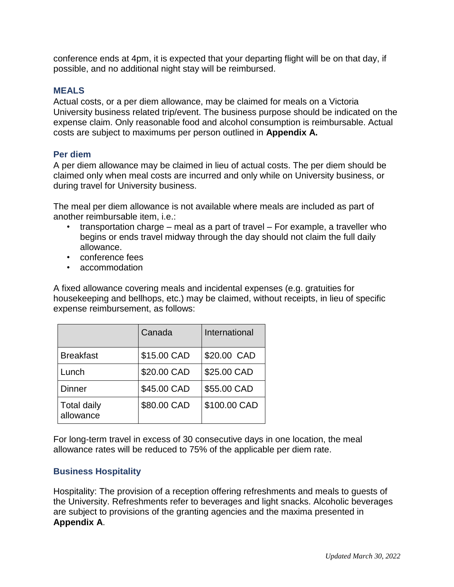conference ends at 4pm, it is expected that your departing flight will be on that day, if possible, and no additional night stay will be reimbursed.

### **MEALS**

Actual costs, or a per diem allowance, may be claimed for meals on a Victoria University business related trip/event. The business purpose should be indicated on the expense claim. Only reasonable food and alcohol consumption is reimbursable. Actual costs are subject to maximums per person outlined in **Appendix A.**

#### **Per diem**

A per diem allowance may be claimed in lieu of actual costs. The per diem should be claimed only when meal costs are incurred and only while on University business, or during travel for University business.

The meal per diem allowance is not available where meals are included as part of another reimbursable item, i.e.:

- transportation charge meal as a part of travel For example, a traveller who begins or ends travel midway through the day should not claim the full daily allowance.
- conference fees
- accommodation

A fixed allowance covering meals and incidental expenses (e.g. gratuities for housekeeping and bellhops, etc.) may be claimed, without receipts, in lieu of specific expense reimbursement, as follows:

|                                 | Canada      | International |
|---------------------------------|-------------|---------------|
| <b>Breakfast</b>                | \$15.00 CAD | \$20.00 CAD   |
| Lunch                           | \$20.00 CAD | \$25.00 CAD   |
| <b>Dinner</b>                   | \$45.00 CAD | \$55.00 CAD   |
| <b>Total daily</b><br>allowance | \$80.00 CAD | \$100.00 CAD  |

For long-term travel in excess of 30 consecutive days in one location, the meal allowance rates will be reduced to 75% of the applicable per diem rate.

# **Business Hospitality**

Hospitality: The provision of a reception offering refreshments and meals to guests of the University. Refreshments refer to beverages and light snacks. Alcoholic beverages are subject to provisions of the granting agencies and the maxima presented in **Appendix A**.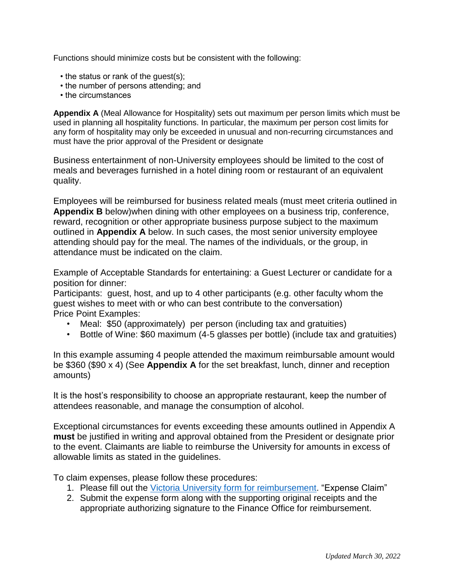Functions should minimize costs but be consistent with the following:

- the status or rank of the guest(s);
- the number of persons attending; and
- the circumstances

**Appendix A** (Meal Allowance for Hospitality) sets out maximum per person limits which must be used in planning all hospitality functions. In particular, the maximum per person cost limits for any form of hospitality may only be exceeded in unusual and non-recurring circumstances and must have the prior approval of the President or designate

Business entertainment of non-University employees should be limited to the cost of meals and beverages furnished in a hotel dining room or restaurant of an equivalent quality.

Employees will be reimbursed for business related meals (must meet criteria outlined in **Appendix B** below)when dining with other employees on a business trip, conference, reward, recognition or other appropriate business purpose subject to the maximum outlined in **Appendix A** below. In such cases, the most senior university employee attending should pay for the meal. The names of the individuals, or the group, in attendance must be indicated on the claim.

Example of Acceptable Standards for entertaining: a Guest Lecturer or candidate for a position for dinner:

Participants: guest, host, and up to 4 other participants (e.g. other faculty whom the guest wishes to meet with or who can best contribute to the conversation) Price Point Examples:

- Meal: \$50 (approximately) per person (including tax and gratuities)
- Bottle of Wine: \$60 maximum (4-5 glasses per bottle) (include tax and gratuities)

In this example assuming 4 people attended the maximum reimbursable amount would be \$360 (\$90 x 4) (See **Appendix A** for the set breakfast, lunch, dinner and reception amounts)

It is the host's responsibility to choose an appropriate restaurant, keep the number of attendees reasonable, and manage the consumption of alcohol.

Exceptional circumstances for events exceeding these amounts outlined in Appendix A **must** be justified in writing and approval obtained from the President or designate prior to the event. Claimants are liable to reimburse the University for amounts in excess of allowable limits as stated in the guidelines.

To claim expenses, please follow these procedures:

- 1. Please fill out the [Victoria University form for reimbursement.](http://www.vicu.utoronto.ca/Assets/VICU+Digital+Assets/Victoria+University/VICU+Digital+Assets/Financial+Services/ExpenseReport.xlsx?method=1) "Expense Claim"
- 2. Submit the expense form along with the supporting original receipts and the appropriate authorizing signature to the Finance Office for reimbursement.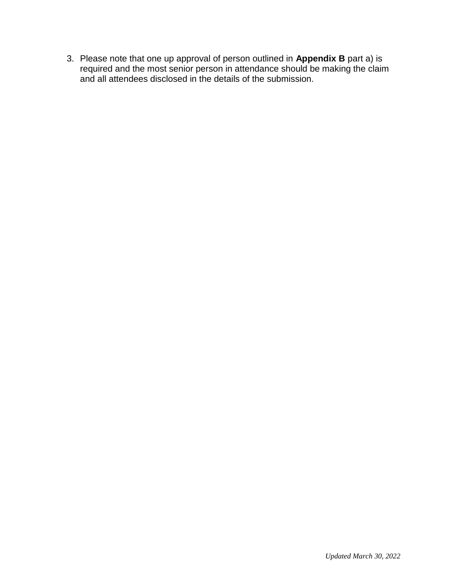3. Please note that one up approval of person outlined in **Appendix B** part a) is required and the most senior person in attendance should be making the claim and all attendees disclosed in the details of the submission.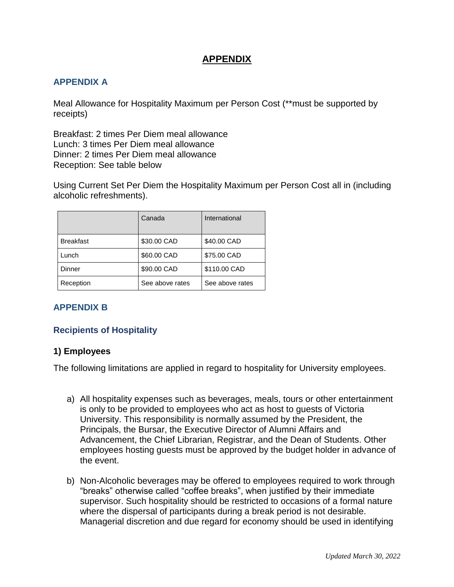# **APPENDIX**

# **APPENDIX A**

Meal Allowance for Hospitality Maximum per Person Cost (\*\*must be supported by receipts)

Breakfast: 2 times Per Diem meal allowance Lunch: 3 times Per Diem meal allowance Dinner: 2 times Per Diem meal allowance Reception: See table below

Using Current Set Per Diem the Hospitality Maximum per Person Cost all in (including alcoholic refreshments).

|                  | Canada          | International   |
|------------------|-----------------|-----------------|
| <b>Breakfast</b> | \$30.00 CAD     | \$40.00 CAD     |
| Lunch            | \$60.00 CAD     | \$75.00 CAD     |
| Dinner           | \$90.00 CAD     | \$110.00 CAD    |
| Reception        | See above rates | See above rates |

# **APPENDIX B**

# **Recipients of Hospitality**

# **1) Employees**

The following limitations are applied in regard to hospitality for University employees.

- a) All hospitality expenses such as beverages, meals, tours or other entertainment is only to be provided to employees who act as host to guests of Victoria University. This responsibility is normally assumed by the President, the Principals, the Bursar, the Executive Director of Alumni Affairs and Advancement, the Chief Librarian, Registrar, and the Dean of Students. Other employees hosting guests must be approved by the budget holder in advance of the event.
- b) Non-Alcoholic beverages may be offered to employees required to work through "breaks" otherwise called "coffee breaks", when justified by their immediate supervisor. Such hospitality should be restricted to occasions of a formal nature where the dispersal of participants during a break period is not desirable. Managerial discretion and due regard for economy should be used in identifying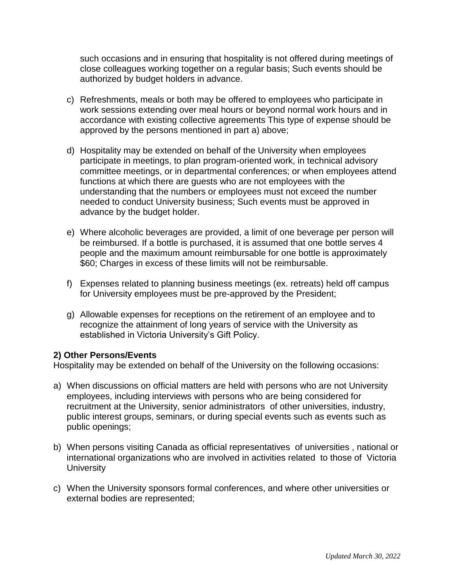such occasions and in ensuring that hospitality is not offered during meetings of close colleagues working together on a regular basis; Such events should be authorized by budget holders in advance.

- c) Refreshments, meals or both may be offered to employees who participate in work sessions extending over meal hours or beyond normal work hours and in accordance with existing collective agreements This type of expense should be approved by the persons mentioned in part a) above;
- d) Hospitality may be extended on behalf of the University when employees participate in meetings, to plan program-oriented work, in technical advisory committee meetings, or in departmental conferences; or when employees attend functions at which there are guests who are not employees with the understanding that the numbers or employees must not exceed the number needed to conduct University business; Such events must be approved in advance by the budget holder.
- e) Where alcoholic beverages are provided, a limit of one beverage per person will be reimbursed. If a bottle is purchased, it is assumed that one bottle serves 4 people and the maximum amount reimbursable for one bottle is approximately \$60; Charges in excess of these limits will not be reimbursable.
- f) Expenses related to planning business meetings (ex. retreats) held off campus for University employees must be pre-approved by the President;
- g) Allowable expenses for receptions on the retirement of an employee and to recognize the attainment of long years of service with the University as established in Victoria University's Gift Policy.

# **2) Other Persons/Events**

Hospitality may be extended on behalf of the University on the following occasions:

- a) When discussions on official matters are held with persons who are not University employees, including interviews with persons who are being considered for recruitment at the University, senior administrators of other universities, industry, public interest groups, seminars, or during special events such as events such as public openings;
- b) When persons visiting Canada as official representatives of universities , national or international organizations who are involved in activities related to those of Victoria **University**
- c) When the University sponsors formal conferences, and where other universities or external bodies are represented;